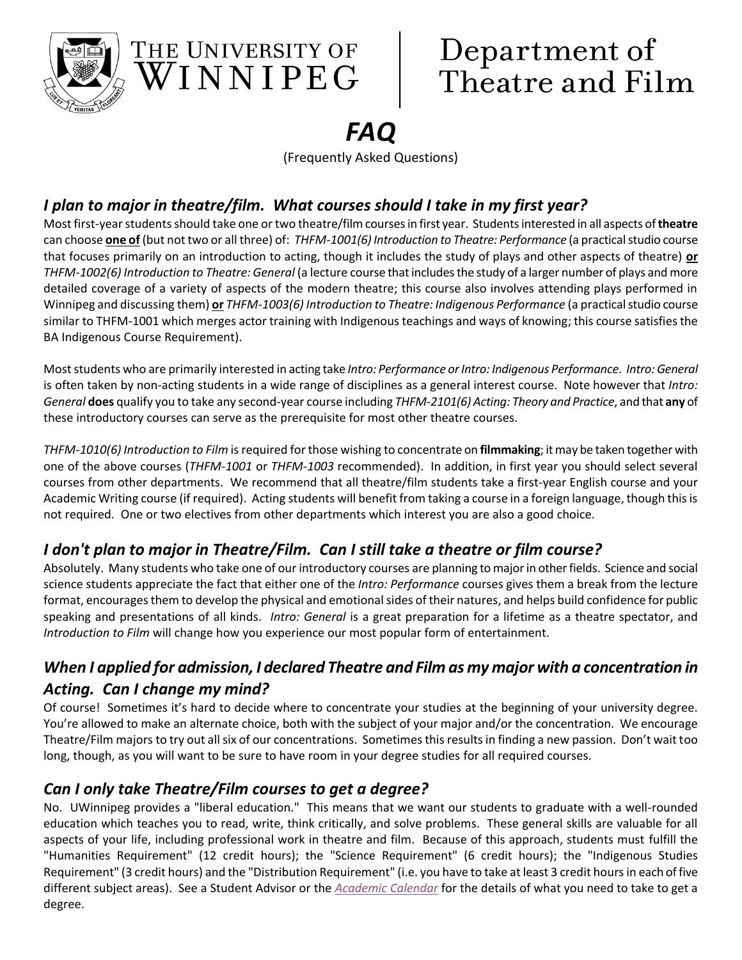

# Department of Theatre and Film

# *FAQ*

(Frequently Asked Questions)

# *I plan to major in theatre/film. What courses should I take in my first year?*

THE UNIVERSITY OF

 $\sqrt{3}$ INNIPEG

Most first-year students should take one or two theatre/film courses in first year. Students interested in all aspects of **theatre** can choose **one of** (but not two or all three) of: *THFM-1001(6) Introduction to Theatre: Performance* (a practical studio course that focuses primarily on an introduction to acting, though it includes the study of plays and other aspects of theatre) **or** *THFM-1002(6) Introduction to Theatre: General* (a lecture course that includes the study of a larger number of plays and more detailed coverage of a variety of aspects of the modern theatre; this course also involves attending plays performed in Winnipeg and discussing them) **or** *THFM-1003(6) Introduction to Theatre: Indigenous Performance* (a practical studio course similar to THFM-1001 which merges actor training with Indigenous teachings and ways of knowing; this course satisfies the BA Indigenous Course Requirement).

Most students who are primarily interested in acting take *Intro: Performance or Intro: Indigenous Performance*. *Intro: General* is often taken by non-acting students in a wide range of disciplines as a general interest course. Note however that *Intro: General* **does** qualify you to take any second-year course including *THFM-2101(6) Acting: Theory and Practice*, and that **any** of these introductory courses can serve as the prerequisite for most other theatre courses.

*THFM-1010(6) Introduction to Film* is required for those wishing to concentrate on **filmmaking**; itmay be taken together with one of the above courses (*THFM-1001* or *THFM-1003* recommended). In addition, in first year you should select several courses from other departments. We recommend that all theatre/film students take a first-year English course and your Academic Writing course (if required). Acting students will benefit from taking a course in a foreign language, though this is not required. One or two electives from other departments which interest you are also a good choice.

# *I don't plan to major in Theatre/Film. Can I still take a theatre or film course?*

Absolutely. Many students who take one of our introductory courses are planning to major in other fields. Science and social science students appreciate the fact that either one of the *Intro: Performance* courses gives them a break from the lecture format, encourages them to develop the physical and emotional sides of their natures, and helps build confidence for public speaking and presentations of all kinds. *Intro: General* is a great preparation for a lifetime as a theatre spectator, and *Introduction to Film* will change how you experience our most popular form of entertainment.

# *When I applied for admission, I declared Theatre and Film as my major with a concentration in Acting. Can I change my mind?*

Of course! Sometimes it's hard to decide where to concentrate your studies at the beginning of your university degree. You're allowed to make an alternate choice, both with the subject of your major and/or the concentration. We encourage Theatre/Film majors to try out all six of our concentrations. Sometimes this results in finding a new passion. Don't wait too long, though, as you will want to be sure to have room in your degree studies for all required courses.

# *Can I only take Theatre/Film courses to get a degree?*

No. UWinnipeg provides a "liberal education." This means that we want our students to graduate with a well-rounded education which teaches you to read, write, think critically, and solve problems. These general skills are valuable for all aspects of your life, including professional work in theatre and film. Because of this approach, students must fulfill the "Humanities Requirement" (12 credit hours); the "Science Requirement" (6 credit hours); the "Indigenous Studies Requirement" (3 credit hours) and the "Distribution Requirement" (i.e. you have to take at least 3 credit hours in each of five different subject areas). See a Student Advisor or the *[Academic](https://www.uwinnipeg.ca/academics/calendar/index.html) Calendar* for the details of what you need to take to get a degree.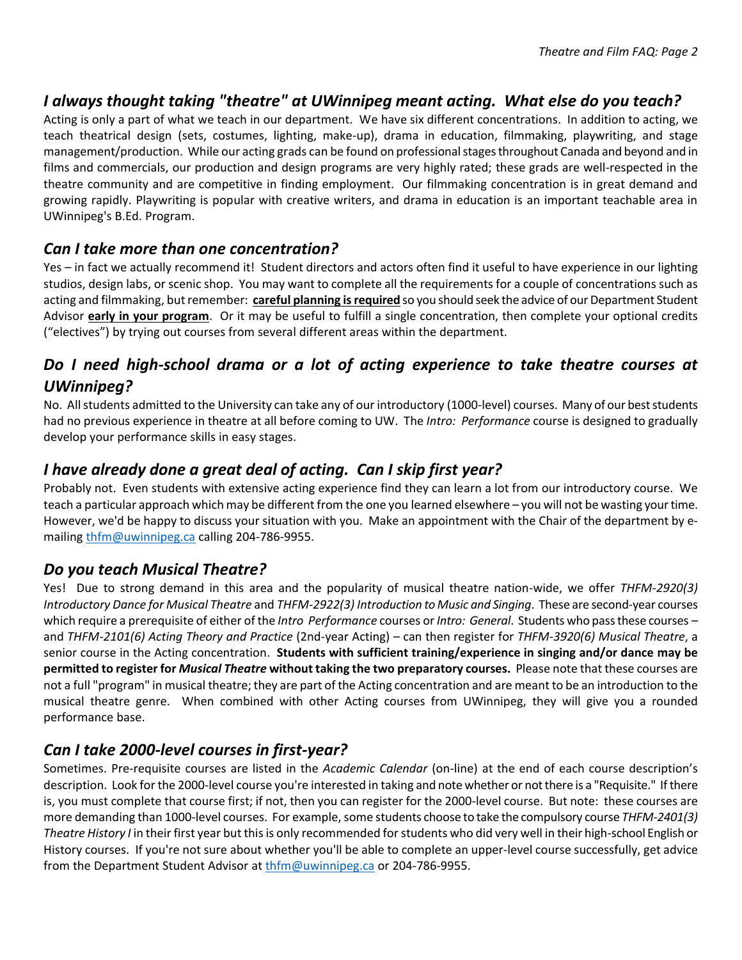#### *I always thought taking "theatre" at UWinnipeg meant acting. What else do you teach?*

Acting is only a part of what we teach in our department. We have six different concentrations. In addition to acting, we teach theatrical design (sets, costumes, lighting, make-up), drama in education, filmmaking, playwriting, and stage management/production. While our acting grads can be found on professional stages throughout Canada and beyond and in films and commercials, our production and design programs are very highly rated; these grads are well-respected in the theatre community and are competitive in finding employment. Our filmmaking concentration is in great demand and growing rapidly. Playwriting is popular with creative writers, and drama in education is an important teachable area in UWinnipeg's B.Ed. Program.

#### *Can I take more than one concentration?*

Yes – in fact we actually recommend it! Student directors and actors often find it useful to have experience in our lighting studios, design labs, or scenic shop. You may want to complete all the requirements for a couple of concentrations such as acting and filmmaking, but remember: **careful planning is required** so you should seek the advice of our Department Student Advisor **early in your program**. Or it may be useful to fulfill a single concentration, then complete your optional credits ("electives") by trying out courses from several different areas within the department.

# *Do I need high-school drama or a lot of acting experience to take theatre courses at UWinnipeg?*

No. All students admitted to the University can take any of our introductory (1000-level) courses. Many of our best students had no previous experience in theatre at all before coming to UW. The *Intro: Performance* course is designed to gradually develop your performance skills in easy stages.

#### *I have already done a great deal of acting. Can I skip first year?*

Probably not. Even students with extensive acting experience find they can learn a lot from our introductory course. We teach a particular approach which may be different from the one you learned elsewhere – you will not be wasting your time. However, we'd be happy to discuss your situation with you. Make an appointment with the Chair of the department by emailing [thfm@uwinnipeg.ca](mailto:thfm@uwinnipeg.ca) calling 204-786-9955.

#### *Do you teach Musical Theatre?*

Yes! Due to strong demand in this area and the popularity of musical theatre nation-wide, we offer *THFM-2920(3) Introductory Dance for Musical Theatre* and *THFM-2922(3) Introduction to Music and Singing*. These are second-year courses which require a prerequisite of either of the *Intro Performance* courses or *Intro: General*. Students who pass these courses – and *THFM-2101(6) Acting Theory and Practice* (2nd-year Acting) – can then register for *THFM-3920(6) Musical Theatre*, a senior course in the Acting concentration. **Students with sufficient training/experience in singing and/or dance may be permitted to register for** *Musical Theatre* **without taking the two preparatory courses.** Please note that these courses are not a full "program" in musical theatre; they are part of the Acting concentration and are meant to be an introduction to the musical theatre genre. When combined with other Acting courses from UWinnipeg, they will give you a rounded performance base.

# *Can I take 2000-level courses in first-year?*

Sometimes. Pre-requisite courses are listed in the *Academic Calendar* (on-line) at the end of each course description's description. Look for the 2000-level course you're interested in taking and note whether or not there is a "Requisite." If there is, you must complete that course first; if not, then you can register for the 2000-level course. But note: these courses are more demanding than 1000-level courses. For example, some students choose to take the compulsory course *THFM-2401(3) Theatre History I* in their first year but this is only recommended for students who did very well in their high-school English or History courses. If you're not sure about whether you'll be able to complete an upper-level course successfully, get advice from the Department Student Advisor at [thfm@uwinnipeg.ca](mailto:thfm@uwinnipeg.ca) or 204-786-9955.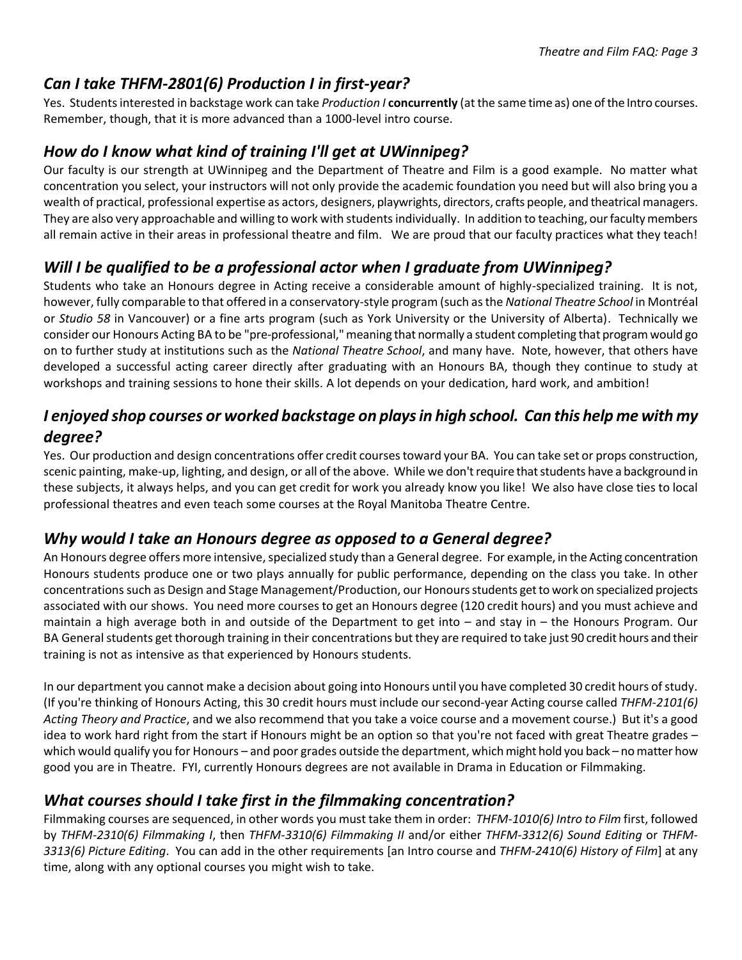# *Can I take THFM-2801(6) Production I in first-year?*

Yes. Students interested in backstage work can take *Production I* **concurrently** (at the same time as) one of the Intro courses. Remember, though, that it is more advanced than a 1000-level intro course.

# *How do I know what kind of training I'll get at UWinnipeg?*

Our faculty is our strength at UWinnipeg and the Department of Theatre and Film is a good example. No matter what concentration you select, your instructors will not only provide the academic foundation you need but will also bring you a wealth of practical, professional expertise as actors, designers, playwrights, directors, crafts people, and theatrical managers. They are also very approachable and willing to work with students individually. In addition to teaching, our faculty members all remain active in their areas in professional theatre and film. We are proud that our faculty practices what they teach!

# *Will I be qualified to be a professional actor when I graduate from UWinnipeg?*

Students who take an Honours degree in Acting receive a considerable amount of highly-specialized training. It is not, however, fully comparable to that offered in a conservatory-style program (such as the *National Theatre School* in Montréal or *Studio 58* in Vancouver) or a fine arts program (such as York University or the University of Alberta). Technically we consider our Honours Acting BA to be "pre-professional,"meaning that normally a student completing that program would go on to further study at institutions such as the *National Theatre School*, and many have. Note, however, that others have developed a successful acting career directly after graduating with an Honours BA, though they continue to study at workshops and training sessions to hone their skills. A lot depends on your dedication, hard work, and ambition!

#### *I enjoyed shop courses or worked backstage on plays in high school. Can this help me with my degree?*

Yes. Our production and design concentrations offer credit courses toward your BA. You can take set or props construction, scenic painting, make-up, lighting, and design, or all of the above. While we don't require that students have a background in these subjects, it always helps, and you can get credit for work you already know you like! We also have close ties to local professional theatres and even teach some courses at the Royal Manitoba Theatre Centre.

#### *Why would I take an Honours degree as opposed to a General degree?*

An Honours degree offers more intensive, specialized study than a General degree. For example, in the Acting concentration Honours students produce one or two plays annually for public performance, depending on the class you take. In other concentrationssuch as Design and Stage Management/Production, our Honours students get to work on specialized projects associated with our shows. You need more courses to get an Honours degree (120 credit hours) and you must achieve and maintain a high average both in and outside of the Department to get into – and stay in – the Honours Program. Our BA General students get thorough training in their concentrations but they are required to take just 90 credit hours and their training is not as intensive as that experienced by Honours students.

In our department you cannot make a decision about going into Honours until you have completed 30 credit hours of study. (If you're thinking of Honours Acting, this 30 credit hours must include our second-year Acting course called *THFM-2101(6) Acting Theory and Practice*, and we also recommend that you take a voice course and a movement course.) But it's a good idea to work hard right from the start if Honours might be an option so that you're not faced with great Theatre grades – which would qualify you for Honours – and poor grades outside the department, which might hold you back – no matter how good you are in Theatre. FYI, currently Honours degrees are not available in Drama in Education or Filmmaking.

#### *What courses should I take first in the filmmaking concentration?*

Filmmaking courses are sequenced, in other words you must take them in order: *THFM-1010(6) Intro to Film* first, followed by *THFM-2310(6) Filmmaking I*, then *THFM-3310(6) Filmmaking II* and/or either *THFM-3312(6) Sound Editing* or *THFM-3313(6) Picture Editing*. You can add in the other requirements [an Intro course and *THFM-2410(6) History of Film*] at any time, along with any optional courses you might wish to take.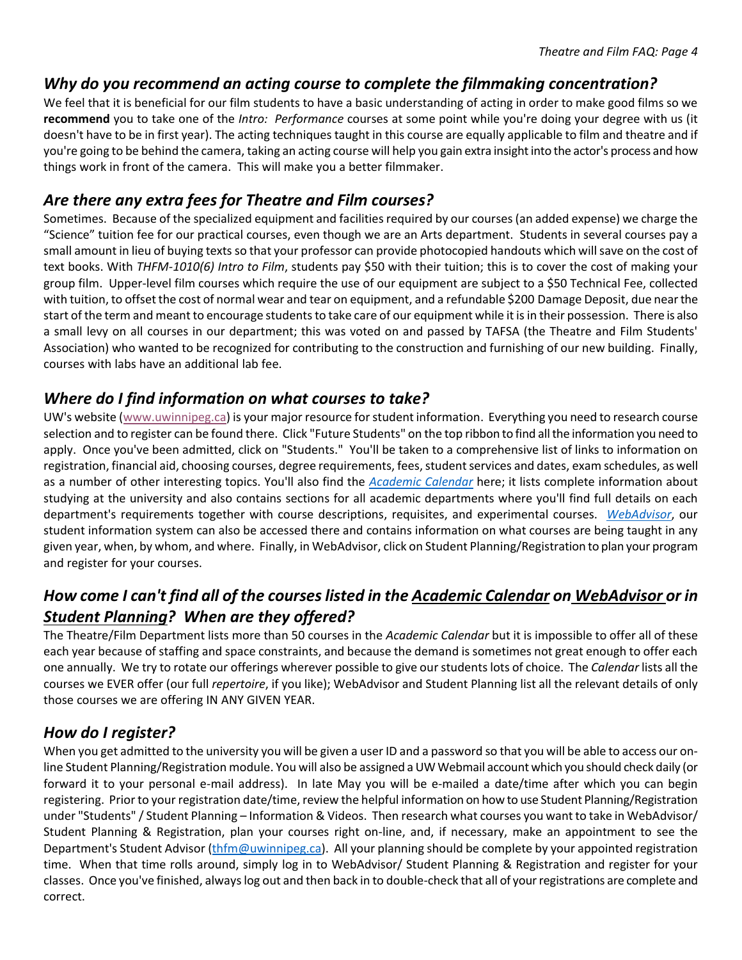#### *Why do you recommend an acting course to complete the filmmaking concentration?*

We feel that it is beneficial for our film students to have a basic understanding of acting in order to make good films so we **recommend** you to take one of the *Intro: Performance* courses at some point while you're doing your degree with us (it doesn't have to be in first year). The acting techniques taught in this course are equally applicable to film and theatre and if you're going to be behind the camera, taking an acting course will help you gain extra insight into the actor's process and how things work in front of the camera. This will make you a better filmmaker.

#### *Are there any extra fees for Theatre and Film courses?*

Sometimes. Because of the specialized equipment and facilities required by our courses (an added expense) we charge the "Science" tuition fee for our practical courses, even though we are an Arts department. Students in several courses pay a small amount in lieu of buying texts so that your professor can provide photocopied handouts which will save on the cost of text books. With *THFM-1010(6) Intro to Film*, students pay \$50 with their tuition; this is to cover the cost of making your group film. Upper-level film courses which require the use of our equipment are subject to a \$50 Technical Fee, collected with tuition, to offset the cost of normal wear and tear on equipment, and a refundable \$200 Damage Deposit, due near the start of the term and meant to encourage students to take care of our equipment while it is in their possession. There is also a small levy on all courses in our department; this was voted on and passed by TAFSA (the Theatre and Film Students' Association) who wanted to be recognized for contributing to the construction and furnishing of our new building. Finally, courses with labs have an additional lab fee.

#### *Where do I find information on what courses to take?*

UW's website [\(www.uwinnipeg.ca\)](http://www.uwinnipeg.ca/) is your major resource for student information. Everything you need to research course selection and to register can be found there. Click "Future Students" on the top ribbon to find all the information you need to apply. Once you've been admitted, click on "Students." You'll be taken to a comprehensive list of links to information on registration, financial aid, choosing courses, degree requirements, fees, student services and dates, exam schedules, as well as a number of other interesting topics. You'll also find the *[Academic Calendar](https://www.uwinnipeg.ca/academics/calendar/index.html)* here; it lists complete information about studying at the university and also contains sections for all academic departments where you'll find full details on each department's requirements together with course descriptions, requisites, and experimental courses. *[WebAdvisor](https://webadv.uwinnipeg.ca/WebAdvisor/WebAdvisor?&TYPE=M&PID=CORE-XWMAIN&TOKENIDX=8964826952)*, our student information system can also be accessed there and contains information on what courses are being taught in any given year, when, by whom, and where. Finally, in WebAdvisor, click on Student Planning/Registration to plan your program and register for your courses.

# *How come I can't find all of the courses listed in the Academic Calendar on WebAdvisor or in Student Planning? When are they offered?*

The Theatre/Film Department lists more than 50 courses in the *Academic Calendar* but it is impossible to offer all of these each year because of staffing and space constraints, and because the demand is sometimes not great enough to offer each one annually. We try to rotate our offerings wherever possible to give our students lots of choice. The *Calendar* lists all the courses we EVER offer (our full *repertoire*, if you like); WebAdvisor and Student Planning list all the relevant details of only those courses we are offering IN ANY GIVEN YEAR.

# *How do I register?*

When you get admitted to the university you will be given a user ID and a password so that you will be able to access our online Student Planning/Registration module. You will also be assigned a UW Webmail account which you should check daily (or forward it to your personal e-mail address). In late May you will be e-mailed a date/time after which you can begin registering. Prior to your registration date/time, review the helpful information on how to use Student Planning/Registration under "Students" / Student Planning – Information & Videos. Then research what courses you want to take in WebAdvisor/ Student Planning & Registration, plan your courses right on-line, and, if necessary, make an appointment to see the Department's Student Advisor [\(thfm@uwinnipeg.ca\)](mailto:thfm@uwinnipeg.ca). All your planning should be complete by your appointed registration time. When that time rolls around, simply log in to WebAdvisor/ Student Planning & Registration and register for your classes. Once you've finished, always log out and then back in to double-check that all of your registrations are complete and correct.